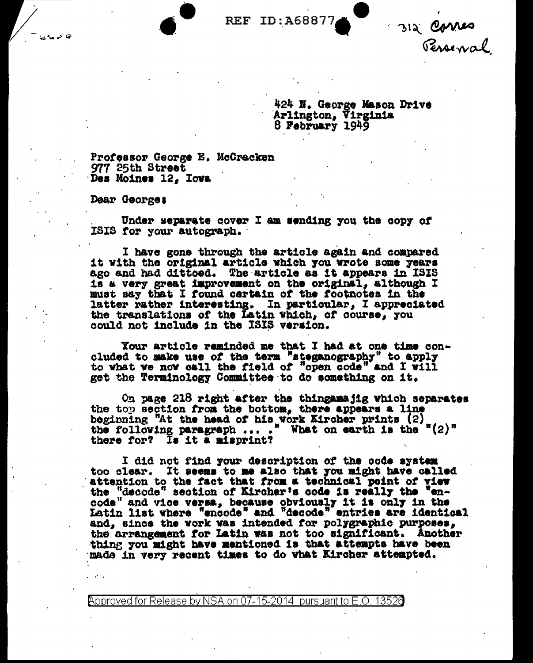312 Corres

424 N. George Mason Drive Arlington, Virginia<br>8 February 1949

Professor George E. McCracken 977 25th Street Des Moines 12, Iowa

Dear George:

Under separate cover I am sending you the copy of ISIS for your autograph.

I have gone through the article again and compared it with the original article which you wrote some years ago and had dittoed. The article as it appears in ISIS is a very great improvement on the original, although I must say that I found certain of the footnotes in the latter rather interesting. In particular, I appreciated the translations of the Latin Which, of course, you could not include in the ISIS version.

Your article reminded me that I had at one time concluded to make use of the term "steganography" to apply to what we now call the field of "open code" and I will get the Terminology Committee to do something on it.

On page 218 right after the thingamajig which separates the top section from the bottom, there appears a line beginning "At the head of his work Kircher prints  $(2)$  the following paragraph ... ." What on earth is the " $(2)$ " there for? Is it a misprint?

I did not find your description of the code system too clear. It seems to me also that you might have called attention to the fact that from a technical point of view the "decode" section of Kircher's code is really the "encode" and vice versa, because obviously it is only in the Latin list where "encode" and "decode" entries are identical and, since the vork was intended for polygraphic purposes, the arrangement for Latin was not too significant. Another thing you might have mentioned is that attempts have been made in very recent times to do what Kircher attempted.

<code>Approved</code> for Release by NSA on 07-15-2014  $\,$  pursuant to E.O. 1352 $0$